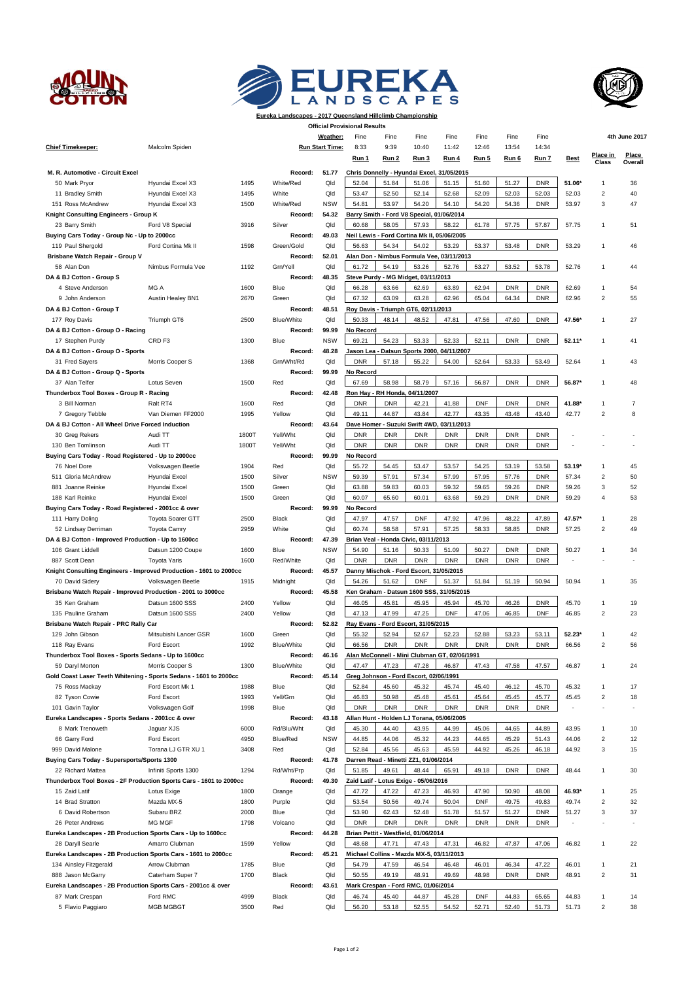





**Eureka Landscapes - 2017 Queensland Hillclimb Championship**

|                                                                    |                                   |              |                        |                        | <b>Official Provisional Results</b> |                     |                                              |                     |                |                |                |                |                          |                  |
|--------------------------------------------------------------------|-----------------------------------|--------------|------------------------|------------------------|-------------------------------------|---------------------|----------------------------------------------|---------------------|----------------|----------------|----------------|----------------|--------------------------|------------------|
|                                                                    |                                   |              |                        | Weather:               | Fine                                | Fine                | Fine                                         | Fine                | Fine           | Fine           | Fine           |                |                          | 4th June 2017    |
| <b>Chief Timekeeper:</b>                                           | Malcolm Spiden                    |              |                        | <b>Run Start Time:</b> | 8:33                                | 9:39                | 10:40                                        | 11:42               | 12:46          | 13:54          | 14:34          |                |                          |                  |
|                                                                    |                                   |              |                        |                        | Run 1                               | Run 2               | Run 3                                        | Run 4               | Run 5          | Run 6          | Run 7          | <b>Best</b>    | Place in<br><b>Class</b> | Place<br>Overall |
| M. R. Automotive - Circuit Excel                                   |                                   |              | Record:                | 51.77                  |                                     |                     | Chris Donnelly - Hyundai Excel, 31/05/2015   |                     |                |                |                |                |                          |                  |
| 50 Mark Pryor                                                      | Hyundai Excel X3                  | 1495         | White/Red              | Qld                    | 52.04                               | 51.84               | 51.06                                        | 51.15               | 51.60          | 51.27          | <b>DNR</b>     | 51.06*         | 1                        | 36               |
| 11 Bradley Smith                                                   | Hyundai Excel X3                  | 1495         | White                  | Qld                    | 53.47                               | 52.50               | 52.14                                        | 52.68               | 52.09          | 52.03          | 52.03          | 52.03          | $\overline{\mathbf{c}}$  | 40               |
| 151 Ross McAndrew                                                  | Hyundai Excel X3                  | 1500         | White/Red              | <b>NSW</b>             | 54.81                               | 53.97               | 54.20                                        | 54.10               | 54.20          | 54.36          | <b>DNR</b>     | 53.97          | 3                        | 47               |
| Knight Consulting Engineers - Group K                              |                                   |              | Record:                | 54.32                  |                                     |                     | Barry Smith - Ford V8 Special, 01/06/2014    |                     |                |                |                |                |                          |                  |
| 23 Barry Smith                                                     | Ford V8 Special                   | 3916         | Silver                 | Qld                    | 60.68                               | 58.05               | 57.93                                        | 58.22               | 61.78          | 57.75          | 57.87          | 57.75          | 1                        | 51               |
| Buying Cars Today - Group Nc - Up to 2000cc                        |                                   |              | Record:                | 49.03                  |                                     |                     | Neil Lewis - Ford Cortina Mk II, 05/06/2005  |                     |                |                |                |                |                          |                  |
| 119 Paul Shergold                                                  | Ford Cortina Mk II                | 1598         | Green/Gold             | Qld                    | 56.63                               | 54.34               | 54.02                                        | 53.29               | 53.37          | 53.48          | <b>DNR</b>     | 53.29          | 1                        | 46               |
| Brisbane Watch Repair - Group V                                    |                                   |              | Record:                | 52.01                  |                                     |                     | Alan Don - Nimbus Formula Vee, 03/11/2013    |                     |                |                |                |                |                          |                  |
| 58 Alan Don                                                        | Nimbus Formula Vee                | 1192         | Grn/Yell               | Qld                    | 61.72                               | 54.19               | 53.26                                        | 52.76               | 53.27          | 53.52          | 53.78          | 52.76          | 1                        | 44               |
| DA & BJ Cotton - Group S                                           |                                   |              | Record:                | 48.35                  |                                     |                     | Steve Purdy - MG Midget, 03/11/2013          |                     |                |                |                |                |                          |                  |
| 4 Steve Anderson                                                   | MG A                              | 1600         | Blue                   | Qld                    | 66.28                               | 63.66               | 62.69                                        | 63.89               | 62.94          | <b>DNR</b>     | <b>DNR</b>     | 62.69          | 1                        | 54               |
| 9 John Anderson                                                    | Austin Healey BN1                 | 2670         | Green                  | Qld                    | 67.32                               | 63.09               | 63.28                                        | 62.96               | 65.04          | 64.34          | <b>DNR</b>     | 62.96          | $\overline{2}$           | 55               |
| DA & BJ Cotton - Group T                                           |                                   |              | Record:                | 48.51                  |                                     |                     | Roy Davis - Triumph GT6, 02/11/2013          |                     |                |                |                |                |                          |                  |
| 177 Roy Davis                                                      | Triumph GT6                       | 2500         | Blue/White             | Qld                    | 50.33                               | 48.14               | 48.52                                        | 47.81               | 47.56          | 47.60          | <b>DNR</b>     | 47.56*         | 1                        | 27               |
| DA & BJ Cotton - Group O - Racing                                  |                                   |              | Record:                | 99.99                  | No Record                           |                     |                                              |                     |                |                |                |                |                          |                  |
| 17 Stephen Purdy                                                   | CRD <sub>F3</sub>                 | 1300         | Blue                   | <b>NSW</b>             | 69.21                               | 54.23               | 53.33                                        | 52.33               | 52.11          | <b>DNR</b>     | <b>DNR</b>     | $52.11*$       | 1                        | 41               |
| DA & BJ Cotton - Group O - Sports                                  |                                   |              | Record:                | 48.28                  |                                     |                     | Jason Lea - Datsun Sports 2000,              | 04/11/2007          |                |                |                |                |                          |                  |
| 31 Fred Sayers                                                     | Morris Cooper S                   | 1368         | Grn/Wht/Rd             | Qld                    | <b>DNR</b>                          | 57.18               | 55.22                                        | 54.00               | 52.64          | 53.33          | 53.49          | 52.64          | 1                        | 43               |
| DA & BJ Cotton - Group Q - Sports                                  |                                   |              | Record:                | 99.99                  | No Record                           |                     |                                              |                     |                |                |                |                |                          |                  |
| 37 Alan Telfer                                                     | Lotus Seven                       | 1500         | Red                    | Qld                    | 67.69                               | 58.98               | 58.79                                        | 57.16               | 56.87          | <b>DNR</b>     | <b>DNR</b>     | 56.87*         | 1                        | 48               |
| Thunderbox Tool Boxes - Group R - Racing                           |                                   |              | Record:                | 42.48                  |                                     |                     | Ron Hay - RH Honda, 04/11/2007               |                     |                |                |                |                |                          |                  |
| 3 Bill Norman                                                      | Ralt RT4                          | 1600         | Red                    | Qld                    | <b>DNR</b>                          | <b>DNR</b>          | 42.21                                        | 41.88               | <b>DNF</b>     | <b>DNR</b>     | <b>DNR</b>     | 41.88*         | 1                        | $\overline{7}$   |
| 7 Gregory Tebble                                                   | Van Diemen FF2000                 | 1995         | Yellow                 | Qld                    | 49.11                               | 44.87               | 43.84                                        | 42.77               | 43.35          | 43.48          | 43.40          | 42.77          | $\overline{2}$           | 8                |
| DA & BJ Cotton - All Wheel Drive Forced Induction                  |                                   |              | Record:                | 43.64                  |                                     |                     | Dave Homer - Suzuki Swift 4WD,               | 03/11/2013          |                |                |                |                |                          |                  |
| 30 Greg Rekers                                                     | Audi TT                           | 1800T        | Yell/Wht               | Qld                    | <b>DNR</b>                          | <b>DNR</b>          | <b>DNR</b>                                   | <b>DNR</b>          | <b>DNR</b>     | <b>DNR</b>     | <b>DNR</b>     |                |                          |                  |
| 130 Ben Tomlinson                                                  | Audi TT                           | 1800T        | Yell/Wht               | Qld                    | <b>DNR</b>                          | <b>DNR</b>          | <b>DNR</b>                                   | <b>DNR</b>          | <b>DNR</b>     | <b>DNR</b>     | <b>DNR</b>     |                |                          |                  |
| Buying Cars Today - Road Registered - Up to 2000cc                 |                                   |              | Record:                | 99.99                  | No Record                           |                     |                                              |                     |                |                |                |                |                          |                  |
| 76 Noel Dore                                                       | Volkswagen Beetle                 | 1904         | Red                    | Qld                    | 55.72                               | 54.45               | 53.47                                        | 53.57               | 54.25          | 53.19          | 53.58          | 53.19*         | $\mathbf{1}$             | 45               |
| 511 Gloria McAndrew                                                | Hyundai Excel                     | 1500         | Silver                 | <b>NSW</b>             | 59.39                               | 57.91               | 57.34                                        | 57.99               | 57.95          | 57.76          | <b>DNR</b>     | 57.34          | $\overline{\mathbf{c}}$  | 50               |
| 881 Joanne Reinke                                                  | Hyundai Excel                     | 1500         | Green                  | Qld                    | 63.88                               | 59.83               | 60.03                                        | 59.32               | 59.65          | 59.26          | <b>DNR</b>     | 59.26          | 3                        | 52               |
| 188 Karl Reinke                                                    | Hyundai Excel                     | 1500         | Green                  | Qld                    | 60.07                               | 65.60               | 60.01                                        | 63.68               | 59.29          | <b>DNR</b>     | <b>DNR</b>     | 59.29          | 4                        | 53               |
| Buying Cars Today - Road Registered - 2001cc & over                |                                   |              | Record:                | 99.99                  | No Record                           |                     |                                              |                     |                |                |                |                |                          |                  |
| 111 Harry Doling                                                   | <b>Toyota Soarer GTT</b>          | 2500         | Black                  | Qld                    | 47.97                               | 47.57               | <b>DNF</b>                                   | 47.92               | 47.96          | 48.22          | 47.89          | 47.57*         | $\mathbf{1}$             | 28               |
| 52 Lindsay Derriman                                                | <b>Toyota Camry</b>               | 2959         | White                  | Qld                    | 60.74                               | 58.58               | 57.91                                        | 57.25               | 58.33          | 58.85          | <b>DNR</b>     | 57.25          | $\overline{c}$           | 49               |
| DA & BJ Cotton - Improved Production - Up to 1600cc                |                                   |              | Record:                | 47.39                  |                                     |                     | Brian Veal - Honda Civic, 03/11/2013         |                     |                |                |                |                |                          |                  |
| 106 Grant Liddell                                                  | Datsun 1200 Coupe                 | 1600         | Blue                   | <b>NSW</b>             | 54.90                               | 51.16               | 50.33                                        | 51.09               | 50.27          | <b>DNR</b>     | <b>DNR</b>     | 50.27          | 1                        | 34               |
| 887 Scott Dean                                                     | <b>Toyota Yaris</b>               | 1600         | Red/White              | Qld                    | <b>DNR</b>                          | <b>DNR</b>          | <b>DNR</b>                                   | <b>DNR</b>          | <b>DNR</b>     | <b>DNR</b>     | <b>DNR</b>     |                |                          |                  |
| Knight Consulting Engineers - Improved Production - 1601 to 2000cc |                                   |              | Record:                | 45.57                  |                                     |                     | Danny Mischok - Ford Escort, 31/05/2015      |                     |                |                |                |                |                          |                  |
| 70 David Sidery                                                    | Volkswagen Beetle                 | 1915         | Midnight               | Qld                    | 54.26                               | 51.62               | <b>DNF</b>                                   | 51.37               | 51.84          | 51.19          | 50.94          | 50.94          | 1                        | 35               |
| Brisbane Watch Repair - Improved Production - 2001 to 3000cc       |                                   |              | Record:                | 45.58                  |                                     |                     | Ken Graham - Datsun 1600 SSS, 31/05/2015     |                     |                |                |                |                |                          |                  |
| 35 Ken Graham                                                      | Datsun 1600 SSS                   | 2400         | Yellow                 | Qld                    | 46.05                               | 45.81               | 45.95                                        | 45.94               | 45.70          | 46.26          | <b>DNR</b>     | 45.70          | $\mathbf{1}$             | 19               |
| 135 Pauline Graham                                                 | Datsun 1600 SSS                   | 2400         | Yellow                 | Qld                    | 47.13                               | 47.99               | 47.25                                        | <b>DNF</b>          | 47.06          | 46.85          | <b>DNF</b>     | 46.85          | $\overline{c}$           | 23               |
| Brisbane Watch Repair - PRC Rally Car                              |                                   |              | Record:                | 52.82                  |                                     |                     | Ray Evans - Ford Escort, 31/05/2015          |                     |                |                |                |                |                          |                  |
| 129 John Gibson                                                    | Mitsubishi Lancer GSR             | 1600         | Green                  | Qld                    | 55.32                               | 52.94               | 52.67                                        | 52.23               | 52.88          | 53.23          | 53.11          | $52.23*$       | 1                        | 42               |
| 118 Ray Evans                                                      | Ford Escort                       | 1992         | Blue/White             | Qld                    | 66.56                               | <b>DNR</b>          | <b>DNR</b>                                   | <b>DNR</b>          | <b>DNR</b>     | <b>DNR</b>     | <b>DNR</b>     | 66.56          | $\overline{2}$           | 56               |
| Thunderbox Tool Boxes - Sports Sedans - Up to 1600cc               |                                   |              | Record:                | 46.16                  |                                     |                     | Alan McConnell - Mini Clubman GT, 02/06/1991 |                     |                |                |                |                |                          |                  |
| 59 Daryl Morton                                                    | Morris Cooper S                   | 1300         | Blue/White             | Qld                    | 47.47                               | 47.23               | 47.28                                        | 46.87               | 47.43          | 47.58          | 47.57          | 46.87          | $\mathbf{1}$             | 24               |
| Gold Coast Laser Teeth Whitening - Sports Sedans - 1601 to 2000cc  |                                   |              | Record:                | 45.14<br>Qld           |                                     |                     | Greg Johnson - Ford Escort, 02/06/1991       |                     |                |                |                |                | $\mathbf{1}$             |                  |
| 75 Ross Mackay                                                     | Ford Escort Mk 1                  | 1988         | Blue<br>Yell/Grn       | Qld                    | 52.84                               | 45.60               | 45.32<br>45.48                               | 45.74               | 45.40          | 46.12<br>45.45 | 45.70          | 45.32          | $\overline{\mathbf{c}}$  | 17<br>18         |
| 82 Tyson Cowie                                                     | Ford Escort                       | 1993         | Blue                   | Qld                    | 46.83<br><b>DNR</b>                 | 50.98<br><b>DNR</b> | <b>DNR</b>                                   | 45.61<br><b>DNR</b> | 45.64          | <b>DNR</b>     | 45.77          | 45.45          |                          | ٠                |
| 101 Gavin Taylor                                                   | Volkswagen Golf                   | 1998         | Record:                |                        |                                     |                     |                                              |                     | <b>DNR</b>     |                | <b>DNR</b>     |                |                          |                  |
| Eureka Landscapes - Sports Sedans - 2001cc & over                  |                                   |              |                        | 43.18<br>Qld           | 45.30                               | 44.40               | Allan Hunt - Holden LJ Torana, 05/06/2005    |                     | 45.06          | 44.65          | 44.89          | 43.95          | $\mathbf{1}$             | 10               |
| 8 Mark Trenoweth                                                   | Jaguar XJS                        | 6000<br>4950 | Rd/Blu/Wht<br>Blue/Red | <b>NSW</b>             |                                     |                     | 43.95                                        | 44.99<br>44.23      |                | 45.29          |                |                | $\overline{\mathbf{c}}$  | 12               |
| 66 Garry Ford<br>999 David Malone                                  | Ford Escort<br>Torana LJ GTR XU 1 | 3408         | Red                    | Qld                    | 44.85<br>52.84                      | 44.06<br>45.56      | 45.32<br>45.63                               | 45.59               | 44.65<br>44.92 | 45.26          | 51.43<br>46.18 | 44.06<br>44.92 | 3                        | 15               |
| Buying Cars Today - Supersports/Sports 1300                        |                                   |              | Record:                | 41.78                  |                                     |                     | Darren Read - Minetti ZZ1, 01/06/2014        |                     |                |                |                |                |                          |                  |
| 22 Richard Mattea                                                  | Infiniti Sports 1300              | 1294         | Rd/Wht/Prp             | Qld                    | 51.85                               | 49.61               | 48.44                                        | 65.91               | 49.18          | <b>DNR</b>     | <b>DNR</b>     | 48.44          | $\mathbf{1}$             | 30               |
| Thunderbox Tool Boxes - 2F Production Sports Cars - 1601 to 2000cc |                                   |              | Record:                | 49.30                  |                                     |                     | Zaid Latif - Lotus Exige - 05/06/2016        |                     |                |                |                |                |                          |                  |
| 15 Zaid Latif                                                      | Lotus Exige                       | 1800         | Orange                 | Qld                    | 47.72                               | 47.22               | 47.23                                        | 46.93               | 47.90          | 50.90          | 48.08          | 46.93*         | $\mathbf{1}$             | 25               |
| 14 Brad Stratton                                                   | Mazda MX-5                        | 1800         | Purple                 | Qld                    | 53.54                               | 50.56               | 49.74                                        | 50.04               | <b>DNF</b>     | 49.75          | 49.83          | 49.74          | $\overline{\mathbf{c}}$  | 32               |
| 6 David Robertson                                                  | Subaru BRZ                        | 2000         | Blue                   | Qld                    | 53.90                               | 62.43               | 52.48                                        | 51.78               | 51.57          | 51.27          | <b>DNR</b>     | 51.27          | 3                        | 37               |
| 26 Peter Andrews                                                   | MG MGF                            | 1798         | Volcano                | Qld                    | <b>DNR</b>                          | <b>DNR</b>          | <b>DNR</b>                                   | <b>DNR</b>          | <b>DNR</b>     | <b>DNR</b>     | <b>DNR</b>     |                |                          |                  |
| Eureka Landscapes - 2B Production Sports Cars - Up to 1600cc       |                                   |              | Record:                | 44.28                  |                                     |                     | Brian Pettit - Westfield, 01/06/2014         |                     |                |                |                |                |                          |                  |
| 28 Daryll Searle                                                   | Amarro Clubman                    | 1599         | Yellow                 | Qld                    | 48.68                               | 47.71               | 47.43                                        | 47.31               | 46.82          | 47.87          | 47.06          | 46.82          | $\mathbf{1}$             | 22               |
| Eureka Landscapes - 2B Production Sports Cars - 1601 to 2000cc     |                                   |              | Record:                | 45.21                  |                                     |                     | Michael Collins - Mazda MX-5, 03/11/2013     |                     |                |                |                |                |                          |                  |
| 134 Ainsley Fitzgerald                                             | Arrow Clubman                     | 1785         | Blue                   | Qld                    | 54.79                               | 47.59               | 46.54                                        | 46.48               | 46.01          | 46.34          | 47.22          | 46.01          | $\mathbf{1}$             | 21               |
| 888 Jason McGarry                                                  | Caterham Super 7                  | 1700         | Black                  | Qld                    | 50.55                               | 49.19               | 48.91                                        | 49.69               | 48.98          | <b>DNR</b>     | <b>DNR</b>     | 48.91          | $\overline{\mathbf{c}}$  | 31               |
| Eureka Landscapes - 2B Production Sports Cars - 2001cc & over      |                                   |              | Record:                | 43.61                  |                                     |                     | Mark Crespan - Ford RMC, 01/06/2014          |                     |                |                |                |                |                          |                  |
| 87 Mark Crespan                                                    | Ford RMC                          | 4999         | Black                  | Qld                    | 46.74                               | 45.40               | 44.87                                        | 45.28               | <b>DNF</b>     | 44.83          | 65.65          | 44.83          | $\mathbf{1}$             | 14               |

5 Flavio Paggiaro MGB MGBGT 3500 Red Qld | 56.20 | 53.18 | 52.55 | 52.71 | 52.40 | 51.73 2 38